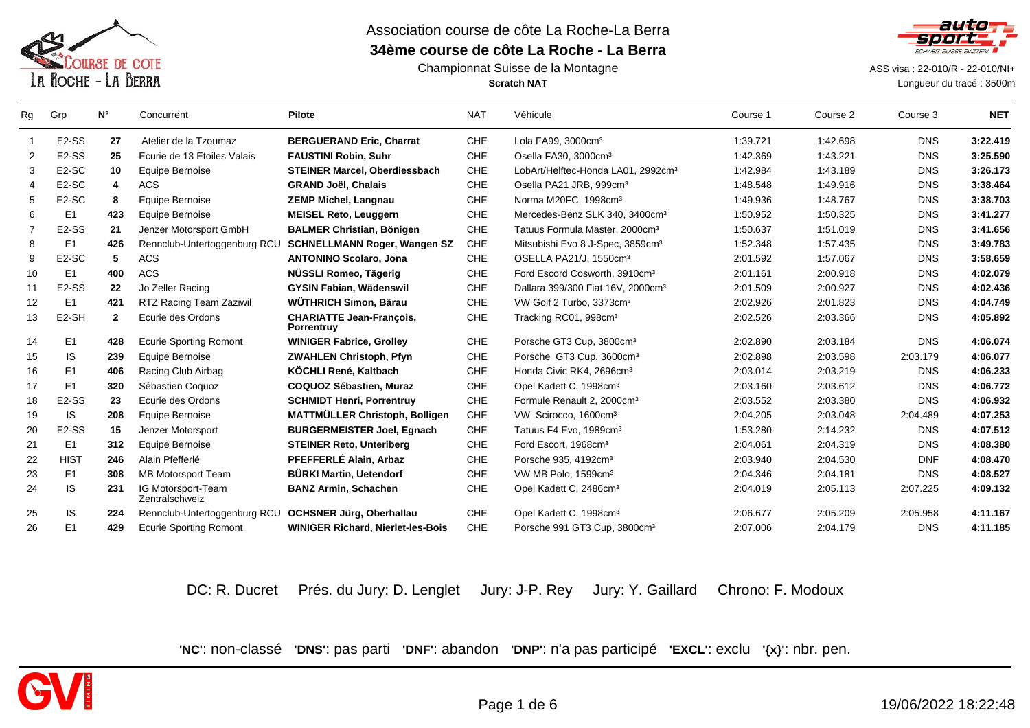

### Championnat Suisse de la Montagne**Scratch NAT**



 ASS visa : 22-010/R - 22-010/NI+ Longueur du tracé : 3500m

| Rg             | Grp                | $N^{\circ}$  | Concurrent                           | <b>Pilote</b>                                        | <b>NAT</b> | Véhicule                                       | Course 1 | Course 2 | Course 3   | <b>NET</b> |
|----------------|--------------------|--------------|--------------------------------------|------------------------------------------------------|------------|------------------------------------------------|----------|----------|------------|------------|
| $\overline{1}$ | E <sub>2</sub> -SS | 27           | Atelier de la Tzoumaz                | <b>BERGUERAND Eric, Charrat</b>                      | <b>CHE</b> | Lola FA99, 3000cm <sup>3</sup>                 | 1:39.721 | 1:42.698 | <b>DNS</b> | 3:22.419   |
| 2              | E <sub>2</sub> -SS | 25           | Ecurie de 13 Etoiles Valais          | <b>FAUSTINI Robin, Suhr</b>                          | CHE        | Osella FA30, 3000cm <sup>3</sup>               | 1:42.369 | 1:43.221 | <b>DNS</b> | 3:25.590   |
| 3              | E <sub>2</sub> -SC | 10           | Equipe Bernoise                      | STEINER Marcel, Oberdiessbach                        | CHE        | LobArt/Helftec-Honda LA01, 2992cm <sup>3</sup> | 1:42.984 | 1:43.189 | <b>DNS</b> | 3:26.173   |
| 4              | E <sub>2</sub> -SC | 4            | <b>ACS</b>                           | <b>GRAND Joël, Chalais</b>                           | CHE        | Osella PA21 JRB, 999cm <sup>3</sup>            | 1:48.548 | 1:49.916 | <b>DNS</b> | 3:38.464   |
| 5              | E <sub>2</sub> -SC | 8            | Equipe Bernoise                      | <b>ZEMP Michel, Langnau</b>                          | <b>CHE</b> | Norma M20FC, 1998cm <sup>3</sup>               | 1:49.936 | 1:48.767 | <b>DNS</b> | 3:38.703   |
| 6              | E <sub>1</sub>     | 423          | Equipe Bernoise                      | <b>MEISEL Reto, Leuggern</b>                         | CHE        | Mercedes-Benz SLK 340, 3400cm <sup>3</sup>     | 1:50.952 | 1:50.325 | <b>DNS</b> | 3:41.277   |
| 7              | E <sub>2</sub> -SS | 21           | Jenzer Motorsport GmbH               | <b>BALMER Christian, Bönigen</b>                     | CHE        | Tatuus Formula Master, 2000cm <sup>3</sup>     | 1:50.637 | 1:51.019 | <b>DNS</b> | 3:41.656   |
| 8              | E <sub>1</sub>     | 426          | Rennclub-Untertoggenburg RCU         | <b>SCHNELLMANN Roger, Wangen SZ</b>                  | CHE        | Mitsubishi Evo 8 J-Spec, 3859cm <sup>3</sup>   | 1:52.348 | 1:57.435 | <b>DNS</b> | 3:49.783   |
| 9              | E <sub>2</sub> -SC | 5            | <b>ACS</b>                           | <b>ANTONINO Scolaro, Jona</b>                        | <b>CHE</b> | OSELLA PA21/J, 1550cm <sup>3</sup>             | 2:01.592 | 1:57.067 | <b>DNS</b> | 3:58.659   |
| 10             | E <sub>1</sub>     | 400          | <b>ACS</b>                           | NÜSSLI Romeo, Tägerig                                | CHE        | Ford Escord Cosworth, 3910cm <sup>3</sup>      | 2:01.161 | 2:00.918 | <b>DNS</b> | 4:02.079   |
| 11             | E <sub>2</sub> -SS | 22           | Jo Zeller Racing                     | <b>GYSIN Fabian, Wädenswil</b>                       | CHE        | Dallara 399/300 Fiat 16V, 2000cm <sup>3</sup>  | 2:01.509 | 2:00.927 | <b>DNS</b> | 4:02.436   |
| 12             | E1                 | 421          | RTZ Racing Team Zäziwil              | WÜTHRICH Simon, Bärau                                | CHE        | VW Golf 2 Turbo, 3373cm <sup>3</sup>           | 2:02.926 | 2:01.823 | <b>DNS</b> | 4:04.749   |
| 13             | E <sub>2</sub> -SH | $\mathbf{2}$ | Ecurie des Ordons                    | <b>CHARIATTE Jean-François,</b><br><b>Porrentruy</b> | CHE        | Tracking RC01, 998cm <sup>3</sup>              | 2:02.526 | 2:03.366 | <b>DNS</b> | 4:05.892   |
| 14             | E <sub>1</sub>     | 428          | <b>Ecurie Sporting Romont</b>        | <b>WINIGER Fabrice, Grolley</b>                      | <b>CHE</b> | Porsche GT3 Cup, 3800cm <sup>3</sup>           | 2:02.890 | 2:03.184 | <b>DNS</b> | 4:06.074   |
| 15             | IS                 | 239          | Equipe Bernoise                      | <b>ZWAHLEN Christoph, Pfyn</b>                       | CHE        | Porsche GT3 Cup, 3600cm <sup>3</sup>           | 2:02.898 | 2:03.598 | 2:03.179   | 4:06.077   |
| 16             | E <sub>1</sub>     | 406          | Racing Club Airbag                   | KÖCHLI René, Kaltbach                                | CHE        | Honda Civic RK4, 2696cm <sup>3</sup>           | 2:03.014 | 2:03.219 | <b>DNS</b> | 4:06.233   |
| 17             | E1                 | 320          | Sébastien Coquoz                     | COQUOZ Sébastien, Muraz                              | <b>CHE</b> | Opel Kadett C, 1998cm <sup>3</sup>             | 2:03.160 | 2:03.612 | <b>DNS</b> | 4:06.772   |
| 18             | E <sub>2</sub> -SS | 23           | Ecurie des Ordons                    | <b>SCHMIDT Henri, Porrentruy</b>                     | CHE        | Formule Renault 2, 2000cm <sup>3</sup>         | 2:03.552 | 2:03.380 | <b>DNS</b> | 4:06.932   |
| 19             | IS.                | 208          | Equipe Bernoise                      | <b>MATTMÜLLER Christoph, Bolligen</b>                | CHE        | VW Scirocco, 1600cm <sup>3</sup>               | 2:04.205 | 2:03.048 | 2:04.489   | 4:07.253   |
| 20             | E <sub>2</sub> -SS | 15           | Jenzer Motorsport                    | <b>BURGERMEISTER Joel, Egnach</b>                    | CHE        | Tatuus F4 Evo, 1989cm <sup>3</sup>             | 1:53.280 | 2:14.232 | <b>DNS</b> | 4:07.512   |
| 21             | E1                 | 312          | Equipe Bernoise                      | <b>STEINER Reto, Unteriberg</b>                      | CHE        | Ford Escort, 1968cm <sup>3</sup>               | 2:04.061 | 2:04.319 | <b>DNS</b> | 4:08.380   |
| 22             | <b>HIST</b>        | 246          | Alain Pfefferlé                      | PFEFFERLÉ Alain, Arbaz                               | <b>CHE</b> | Porsche 935, 4192cm <sup>3</sup>               | 2:03.940 | 2:04.530 | <b>DNF</b> | 4:08.470   |
| 23             | E1                 | 308          | <b>MB Motorsport Team</b>            | <b>BÜRKI Martin, Uetendorf</b>                       | CHE        | VW MB Polo, 1599cm <sup>3</sup>                | 2:04.346 | 2:04.181 | <b>DNS</b> | 4:08.527   |
| 24             | <b>IS</b>          | 231          | IG Motorsport-Team<br>Zentralschweiz | <b>BANZ Armin, Schachen</b>                          | CHE        | Opel Kadett C, 2486cm <sup>3</sup>             | 2:04.019 | 2:05.113 | 2:07.225   | 4:09.132   |
| 25             | IS                 | 224          | Rennclub-Untertoggenburg RCU         | <b>OCHSNER Jürg, Oberhallau</b>                      | CHE        | Opel Kadett C, 1998cm <sup>3</sup>             | 2:06.677 | 2:05.209 | 2:05.958   | 4:11.167   |
| 26             | E1                 | 429          | <b>Ecurie Sporting Romont</b>        | <b>WINIGER Richard, Nierlet-les-Bois</b>             | CHE        | Porsche 991 GT3 Cup, 3800cm <sup>3</sup>       | 2:07.006 | 2:04.179 | <b>DNS</b> | 4:11.185   |
|                |                    |              |                                      |                                                      |            |                                                |          |          |            |            |

DC: R. Ducret Prés. du Jury: D. Lenglet Jury: J-P. Rey Jury: Y. Gaillard Chrono: F. Modoux

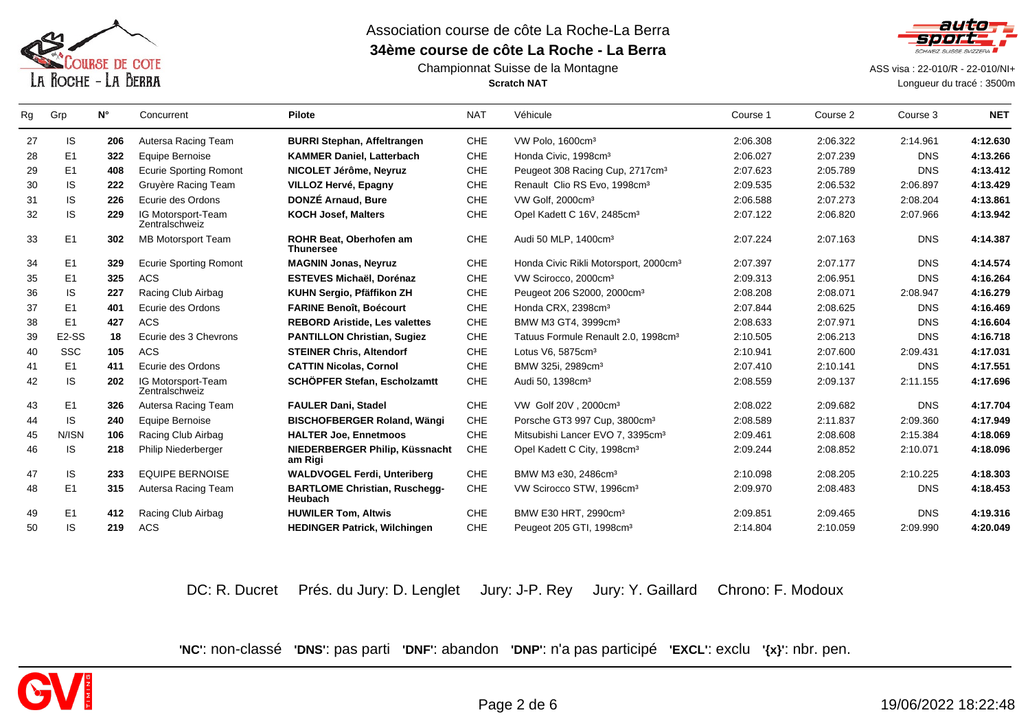

### Championnat Suisse de la Montagne**Scratch NAT**



ASS visa : 22-010/R - 22-010/NI+

Longueur du tracé : 3500m

| Rg | Grp                | $N^{\circ}$ | Concurrent                           | <b>Pilote</b>                                          | <b>NAT</b> | Véhicule                                          | Course 1 | Course 2 | Course 3   | <b>NET</b> |
|----|--------------------|-------------|--------------------------------------|--------------------------------------------------------|------------|---------------------------------------------------|----------|----------|------------|------------|
| 27 | IS.                | 206         | Autersa Racing Team                  | <b>BURRI Stephan, Affeltrangen</b>                     | CHE        | VW Polo, 1600cm <sup>3</sup>                      | 2:06.308 | 2:06.322 | 2:14.961   | 4:12.630   |
| 28 | E1                 | 322         | Equipe Bernoise                      | <b>KAMMER Daniel, Latterbach</b>                       | <b>CHE</b> | Honda Civic, 1998cm <sup>3</sup>                  | 2:06.027 | 2:07.239 | <b>DNS</b> | 4:13.266   |
| 29 | E1                 | 408         | <b>Ecurie Sporting Romont</b>        | NICOLET Jérôme, Neyruz                                 | <b>CHE</b> | Peugeot 308 Racing Cup, 2717cm <sup>3</sup>       | 2:07.623 | 2:05.789 | <b>DNS</b> | 4:13.412   |
| 30 | IS                 | 222         | Gruyère Racing Team                  | VILLOZ Hervé, Epagny                                   | CHE        | Renault Clio RS Evo, 1998cm <sup>3</sup>          | 2:09.535 | 2:06.532 | 2:06.897   | 4:13.429   |
| 31 | IS                 | 226         | Ecurie des Ordons                    | DONZÉ Arnaud, Bure                                     | <b>CHE</b> | VW Golf, 2000cm <sup>3</sup>                      | 2:06.588 | 2:07.273 | 2:08.204   | 4:13.861   |
| 32 | IS                 | 229         | IG Motorsport-Team<br>Zentralschweiz | <b>KOCH Josef, Malters</b>                             | CHE        | Opel Kadett C 16V, 2485cm <sup>3</sup>            | 2:07.122 | 2:06.820 | 2:07.966   | 4:13.942   |
| 33 | E1                 | 302         | <b>MB Motorsport Team</b>            | <b>ROHR Beat. Oberhofen am</b><br><b>Thunersee</b>     | <b>CHE</b> | Audi 50 MLP, 1400cm <sup>3</sup>                  | 2:07.224 | 2:07.163 | <b>DNS</b> | 4:14.387   |
| 34 | E <sub>1</sub>     | 329         | <b>Ecurie Sporting Romont</b>        | <b>MAGNIN Jonas, Neyruz</b>                            | <b>CHE</b> | Honda Civic Rikli Motorsport, 2000cm <sup>3</sup> | 2:07.397 | 2:07.177 | <b>DNS</b> | 4:14.574   |
| 35 | E1                 | 325         | <b>ACS</b>                           | <b>ESTEVES Michaël, Dorénaz</b>                        | <b>CHE</b> | VW Scirocco, 2000cm <sup>3</sup>                  | 2:09.313 | 2:06.951 | <b>DNS</b> | 4:16.264   |
| 36 | IS.                | 227         | Racing Club Airbag                   | KUHN Sergio, Pfäffikon ZH                              | CHE        | Peugeot 206 S2000, 2000cm <sup>3</sup>            | 2:08.208 | 2:08.071 | 2:08.947   | 4:16.279   |
| 37 | E1                 | 401         | Ecurie des Ordons                    | <b>FARINE Benoît, Boécourt</b>                         | <b>CHE</b> | Honda CRX, 2398cm <sup>3</sup>                    | 2:07.844 | 2:08.625 | <b>DNS</b> | 4:16.469   |
| 38 | E <sub>1</sub>     | 427         | <b>ACS</b>                           | <b>REBORD Aristide, Les valettes</b>                   | CHE        | BMW M3 GT4, 3999cm <sup>3</sup>                   | 2:08.633 | 2:07.971 | <b>DNS</b> | 4:16.604   |
| 39 | E <sub>2</sub> -SS | 18          | Ecurie des 3 Chevrons                | <b>PANTILLON Christian, Sugiez</b>                     | <b>CHE</b> | Tatuus Formule Renault 2.0, 1998cm <sup>3</sup>   | 2:10.505 | 2:06.213 | <b>DNS</b> | 4:16.718   |
| 40 | <b>SSC</b>         | 105         | <b>ACS</b>                           | <b>STEINER Chris. Altendorf</b>                        | CHE        | Lotus V6, 5875cm <sup>3</sup>                     | 2:10.941 | 2:07.600 | 2:09.431   | 4:17.031   |
| 41 | E <sub>1</sub>     | 411         | Ecurie des Ordons                    | <b>CATTIN Nicolas, Cornol</b>                          | <b>CHE</b> | BMW 325i, 2989cm <sup>3</sup>                     | 2:07.410 | 2:10.141 | <b>DNS</b> | 4:17.551   |
| 42 | IS                 | 202         | IG Motorsport-Team<br>Zentralschweiz | SCHÖPFER Stefan, Escholzamtt                           | <b>CHE</b> | Audi 50, 1398cm <sup>3</sup>                      | 2:08.559 | 2:09.137 | 2:11.155   | 4:17.696   |
| 43 | E <sub>1</sub>     | 326         | Autersa Racing Team                  | <b>FAULER Dani, Stadel</b>                             | CHE        | VW Golf 20V, 2000cm <sup>3</sup>                  | 2:08.022 | 2:09.682 | <b>DNS</b> | 4:17.704   |
| 44 | IS.                | 240         | Equipe Bernoise                      | <b>BISCHOFBERGER Roland, Wängi</b>                     | <b>CHE</b> | Porsche GT3 997 Cup, 3800cm <sup>3</sup>          | 2:08.589 | 2:11.837 | 2:09.360   | 4:17.949   |
| 45 | N/ISN              | 106         | Racing Club Airbag                   | <b>HALTER Joe. Ennetmoos</b>                           | <b>CHE</b> | Mitsubishi Lancer EVO 7, 3395cm <sup>3</sup>      | 2:09.461 | 2:08.608 | 2:15.384   | 4:18.069   |
| 46 | IS.                | 218         | Philip Niederberger                  | NIEDERBERGER Philip, Küssnacht<br>am Rigi              | <b>CHE</b> | Opel Kadett C City, 1998cm <sup>3</sup>           | 2:09.244 | 2:08.852 | 2:10.071   | 4:18.096   |
| 47 | IS                 | 233         | <b>EQUIPE BERNOISE</b>               | <b>WALDVOGEL Ferdi, Unteriberg</b>                     | CHE        | BMW M3 e30, 2486cm <sup>3</sup>                   | 2:10.098 | 2:08.205 | 2:10.225   | 4:18.303   |
| 48 | E1                 | 315         | Autersa Racing Team                  | <b>BARTLOME Christian, Ruschegg-</b><br><b>Heubach</b> | CHE        | VW Scirocco STW, 1996cm <sup>3</sup>              | 2:09.970 | 2:08.483 | <b>DNS</b> | 4:18.453   |
| 49 | E <sub>1</sub>     | 412         | Racing Club Airbag                   | <b>HUWILER Tom, Altwis</b>                             | CHE        | BMW E30 HRT, 2990cm <sup>3</sup>                  | 2:09.851 | 2:09.465 | <b>DNS</b> | 4:19.316   |
| 50 | IS.                | 219         | ACS                                  | <b>HEDINGER Patrick, Wilchingen</b>                    | CHE        | Peugeot 205 GTI, 1998cm <sup>3</sup>              | 2:14.804 | 2:10.059 | 2:09.990   | 4:20.049   |

DC: R. Ducret Prés. du Jury: D. Lenglet Jury: J-P. Rey Jury: Y. Gaillard Chrono: F. Modoux

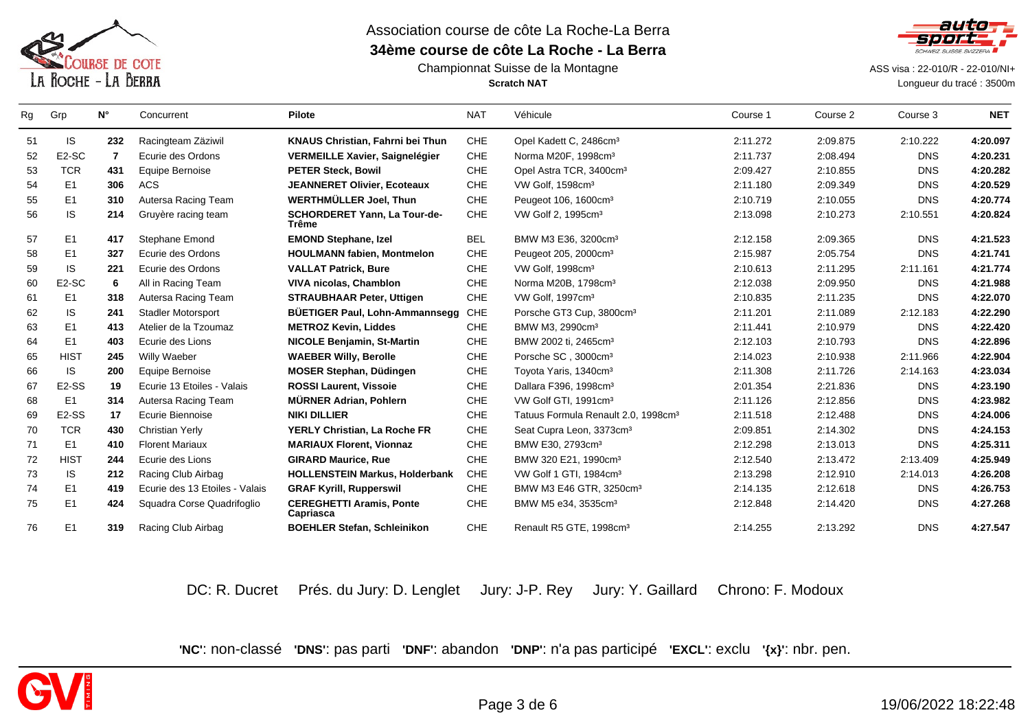

### Championnat Suisse de la Montagne**Scratch NAT**



ASS visa : 22-010/R - 22-010/NI+

Longueur du tracé : 3500m

| Rg | Grp                | $N^{\circ}$    | Concurrent                     | <b>Pilote</b>                                | <b>NAT</b> | Véhicule                                        | Course 1 | Course 2 | Course 3   | <b>NET</b> |
|----|--------------------|----------------|--------------------------------|----------------------------------------------|------------|-------------------------------------------------|----------|----------|------------|------------|
| 51 | IS.                | 232            | Racingteam Zäziwil             | KNAUS Christian, Fahrni bei Thun             | <b>CHE</b> | Opel Kadett C, 2486cm <sup>3</sup>              | 2:11.272 | 2:09.875 | 2:10.222   | 4:20.097   |
| 52 | E <sub>2</sub> -SC | $\overline{7}$ | Ecurie des Ordons              | <b>VERMEILLE Xavier, Saignelégier</b>        | <b>CHE</b> | Norma M20F, 1998cm <sup>3</sup>                 | 2:11.737 | 2:08.494 | <b>DNS</b> | 4:20.231   |
| 53 | <b>TCR</b>         | 431            | Equipe Bernoise                | <b>PETER Steck, Bowil</b>                    | <b>CHE</b> | Opel Astra TCR, 3400cm <sup>3</sup>             | 2:09.427 | 2:10.855 | <b>DNS</b> | 4:20.282   |
| 54 | E <sub>1</sub>     | 306            | <b>ACS</b>                     | <b>JEANNERET Olivier, Ecoteaux</b>           | <b>CHE</b> | VW Golf, 1598cm <sup>3</sup>                    | 2:11.180 | 2:09.349 | <b>DNS</b> | 4:20.529   |
| 55 | E <sub>1</sub>     | 310            | Autersa Racing Team            | <b>WERTHMÜLLER Joel, Thun</b>                | <b>CHE</b> | Peugeot 106, 1600cm <sup>3</sup>                | 2:10.719 | 2:10.055 | <b>DNS</b> | 4:20.774   |
| 56 | <b>IS</b>          | 214            | Gruyère racing team            | <b>SCHORDERET Yann, La Tour-de-</b><br>Trême | <b>CHE</b> | VW Golf 2, 1995cm <sup>3</sup>                  | 2:13.098 | 2:10.273 | 2:10.551   | 4:20.824   |
| 57 | E <sub>1</sub>     | 417            | <b>Stephane Emond</b>          | <b>EMOND Stephane, Izel</b>                  | <b>BEL</b> | BMW M3 E36, 3200cm <sup>3</sup>                 | 2:12.158 | 2:09.365 | <b>DNS</b> | 4:21.523   |
| 58 | E1                 | 327            | Ecurie des Ordons              | <b>HOULMANN fabien, Montmelon</b>            | <b>CHE</b> | Peugeot 205, 2000cm <sup>3</sup>                | 2:15.987 | 2:05.754 | <b>DNS</b> | 4:21.741   |
| 59 | IS.                | 221            | Ecurie des Ordons              | <b>VALLAT Patrick, Bure</b>                  | <b>CHE</b> | VW Golf, 1998cm <sup>3</sup>                    | 2:10.613 | 2:11.295 | 2:11.161   | 4:21.774   |
| 60 | E <sub>2</sub> -SC | 6              | All in Racing Team             | <b>VIVA nicolas, Chamblon</b>                | <b>CHE</b> | Norma M20B, 1798cm <sup>3</sup>                 | 2:12.038 | 2:09.950 | <b>DNS</b> | 4:21.988   |
| 61 | E <sub>1</sub>     | 318            | Autersa Racing Team            | <b>STRAUBHAAR Peter, Uttigen</b>             | <b>CHE</b> | VW Golf, 1997cm <sup>3</sup>                    | 2:10.835 | 2:11.235 | <b>DNS</b> | 4:22.070   |
| 62 | <b>IS</b>          | 241            | <b>Stadler Motorsport</b>      | <b>BÜETIGER Paul, Lohn-Ammannsegg</b>        | <b>CHE</b> | Porsche GT3 Cup, 3800cm <sup>3</sup>            | 2:11.201 | 2:11.089 | 2:12.183   | 4:22.290   |
| 63 | E <sub>1</sub>     | 413            | Atelier de la Tzoumaz          | <b>METROZ Kevin, Liddes</b>                  | <b>CHE</b> | BMW M3, 2990cm <sup>3</sup>                     | 2:11.441 | 2:10.979 | <b>DNS</b> | 4:22.420   |
| 64 | E <sub>1</sub>     | 403            | Ecurie des Lions               | <b>NICOLE Benjamin, St-Martin</b>            | <b>CHE</b> | BMW 2002 ti, 2465cm <sup>3</sup>                | 2:12.103 | 2:10.793 | <b>DNS</b> | 4:22.896   |
| 65 | <b>HIST</b>        | 245            | Willy Waeber                   | <b>WAEBER Willy, Berolle</b>                 | <b>CHE</b> | Porsche SC, 3000cm <sup>3</sup>                 | 2:14.023 | 2:10.938 | 2:11.966   | 4:22.904   |
| 66 | IS.                | 200            | Equipe Bernoise                | <b>MOSER Stephan, Düdingen</b>               | <b>CHE</b> | Toyota Yaris, 1340cm <sup>3</sup>               | 2:11.308 | 2:11.726 | 2:14.163   | 4:23.034   |
| 67 | E <sub>2</sub> -SS | 19             | Ecurie 13 Etoiles - Valais     | <b>ROSSI Laurent. Vissoie</b>                | <b>CHE</b> | Dallara F396, 1998cm <sup>3</sup>               | 2:01.354 | 2:21.836 | <b>DNS</b> | 4:23.190   |
| 68 | E <sub>1</sub>     | 314            | Autersa Racing Team            | <b>MÜRNER Adrian, Pohlern</b>                | <b>CHE</b> | VW Golf GTI, 1991cm <sup>3</sup>                | 2:11.126 | 2:12.856 | <b>DNS</b> | 4:23.982   |
| 69 | E <sub>2</sub> -SS | 17             | Ecurie Biennoise               | <b>NIKI DILLIER</b>                          | <b>CHE</b> | Tatuus Formula Renault 2.0, 1998cm <sup>3</sup> | 2:11.518 | 2:12.488 | <b>DNS</b> | 4:24.006   |
| 70 | <b>TCR</b>         | 430            | <b>Christian Yerly</b>         | YERLY Christian, La Roche FR                 | <b>CHE</b> | Seat Cupra Leon, 3373cm <sup>3</sup>            | 2:09.851 | 2:14.302 | <b>DNS</b> | 4:24.153   |
| 71 | E <sub>1</sub>     | 410            | <b>Florent Mariaux</b>         | <b>MARIAUX Florent, Vionnaz</b>              | <b>CHE</b> | BMW E30, 2793cm <sup>3</sup>                    | 2:12.298 | 2:13.013 | <b>DNS</b> | 4:25.311   |
| 72 | <b>HIST</b>        | 244            | Ecurie des Lions               | <b>GIRARD Maurice, Rue</b>                   | <b>CHE</b> | BMW 320 E21, 1990cm <sup>3</sup>                | 2:12.540 | 2:13.472 | 2:13.409   | 4:25.949   |
| 73 | <b>IS</b>          | 212            | Racing Club Airbag             | <b>HOLLENSTEIN Markus, Holderbank</b>        | <b>CHE</b> | VW Golf 1 GTI, 1984cm <sup>3</sup>              | 2:13.298 | 2:12.910 | 2:14.013   | 4:26.208   |
| 74 | E <sub>1</sub>     | 419            | Ecurie des 13 Etoiles - Valais | <b>GRAF Kyrill, Rupperswil</b>               | <b>CHE</b> | BMW M3 E46 GTR, 3250cm <sup>3</sup>             | 2:14.135 | 2:12.618 | <b>DNS</b> | 4:26.753   |
| 75 | E <sub>1</sub>     | 424            | Squadra Corse Quadrifoglio     | <b>CEREGHETTI Aramis, Ponte</b><br>Capriasca | <b>CHE</b> | BMW M5 e34, 3535cm <sup>3</sup>                 | 2:12.848 | 2:14.420 | <b>DNS</b> | 4:27.268   |
| 76 | E <sub>1</sub>     | 319            | Racing Club Airbag             | <b>BOEHLER Stefan, Schleinikon</b>           | <b>CHE</b> | Renault R5 GTE, 1998cm <sup>3</sup>             | 2:14.255 | 2:13.292 | <b>DNS</b> | 4:27.547   |

DC: R. Ducret Prés. du Jury: D. Lenglet Jury: J-P. Rey Jury: Y. Gaillard Chrono: F. Modoux

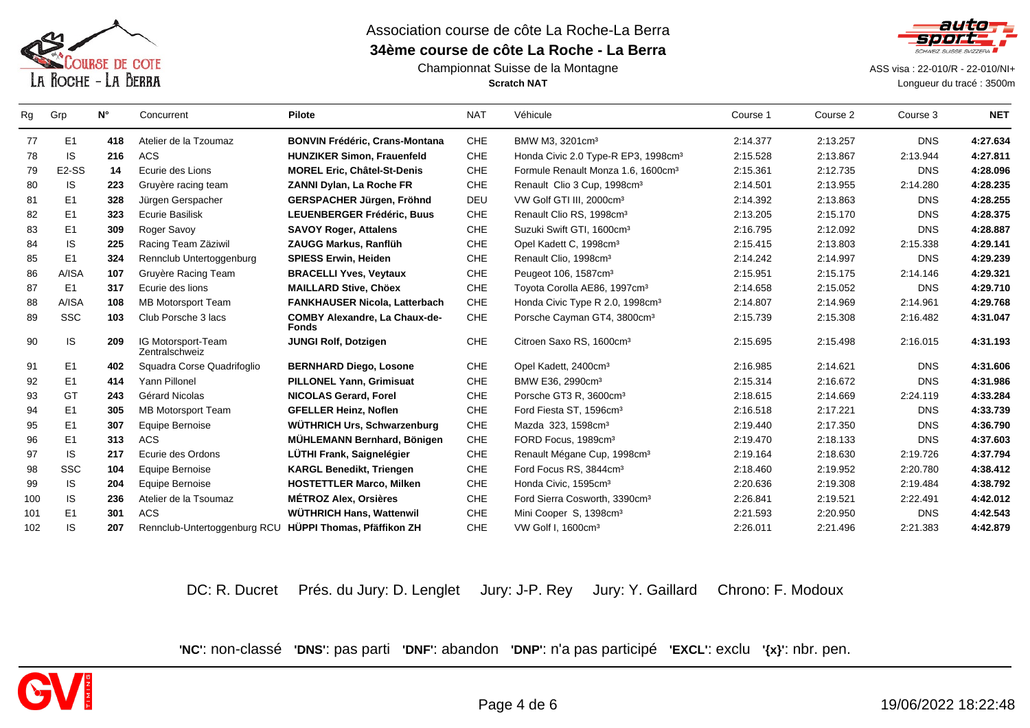

### Championnat Suisse de la Montagne**Scratch NAT**



 ASS visa : 22-010/R - 22-010/NI+ Longueur du tracé : 3500m

| Rg  | Grp                | $N^{\circ}$ | Concurrent                                              | <b>Pilote</b>                                        | <b>NAT</b> | Véhicule                                        | Course 1 | Course 2 | Course 3   | <b>NET</b> |
|-----|--------------------|-------------|---------------------------------------------------------|------------------------------------------------------|------------|-------------------------------------------------|----------|----------|------------|------------|
| 77  | E <sub>1</sub>     | 418         | Atelier de la Tzoumaz                                   | <b>BONVIN Frédéric, Crans-Montana</b>                | <b>CHE</b> | BMW M3, 3201cm <sup>3</sup>                     | 2:14.377 | 2:13.257 | <b>DNS</b> | 4:27.634   |
| 78  | IS.                | 216         | <b>ACS</b>                                              | <b>HUNZIKER Simon, Frauenfeld</b>                    | <b>CHE</b> | Honda Civic 2.0 Type-R EP3, 1998cm <sup>3</sup> | 2:15.528 | 2:13.867 | 2:13.944   | 4:27.811   |
| 79  | E <sub>2</sub> -SS | 14          | Ecurie des Lions                                        | <b>MOREL Eric, Châtel-St-Denis</b>                   | CHE        | Formule Renault Monza 1.6, 1600cm <sup>3</sup>  | 2:15.361 | 2:12.735 | <b>DNS</b> | 4:28.096   |
| 80  | IS.                | 223         | Gruyère racing team                                     | ZANNI Dylan, La Roche FR                             | CHE        | Renault Clio 3 Cup, 1998cm <sup>3</sup>         | 2:14.501 | 2:13.955 | 2:14.280   | 4:28.235   |
| 81  | E <sub>1</sub>     | 328         | Jürgen Gerspacher                                       | GERSPACHER Jürgen, Fröhnd                            | DEU        | VW Golf GTI III, 2000cm <sup>3</sup>            | 2:14.392 | 2:13.863 | <b>DNS</b> | 4:28.255   |
| 82  | E <sub>1</sub>     | 323         | <b>Ecurie Basilisk</b>                                  | <b>LEUENBERGER Frédéric, Buus</b>                    | <b>CHE</b> | Renault Clio RS, 1998cm <sup>3</sup>            | 2:13.205 | 2:15.170 | <b>DNS</b> | 4:28.375   |
| 83  | E1                 | 309         | Roger Savoy                                             | <b>SAVOY Roger, Attalens</b>                         | CHE        | Suzuki Swift GTI, 1600cm <sup>3</sup>           | 2:16.795 | 2:12.092 | <b>DNS</b> | 4:28.887   |
| 84  | IS.                | 225         | Racing Team Zäziwil                                     | ZAUGG Markus, Ranflüh                                | CHE        | Opel Kadett C, 1998cm <sup>3</sup>              | 2:15.415 | 2:13.803 | 2:15.338   | 4:29.141   |
| 85  | E <sub>1</sub>     | 324         | Rennclub Untertoggenburg                                | <b>SPIESS Erwin, Heiden</b>                          | CHE        | Renault Clio, 1998cm <sup>3</sup>               | 2:14.242 | 2:14.997 | <b>DNS</b> | 4:29.239   |
| 86  | A/ISA              | 107         | Gruyère Racing Team                                     | <b>BRACELLI Yves, Veytaux</b>                        | CHE        | Peugeot 106, 1587cm <sup>3</sup>                | 2:15.951 | 2:15.175 | 2:14.146   | 4:29.321   |
| 87  | E <sub>1</sub>     | 317         | Ecurie des lions                                        | <b>MAILLARD Stive, Chöex</b>                         | CHE        | Toyota Corolla AE86, 1997cm <sup>3</sup>        | 2:14.658 | 2:15.052 | <b>DNS</b> | 4:29.710   |
| 88  | A/ISA              | 108         | MB Motorsport Team                                      | <b>FANKHAUSER Nicola, Latterbach</b>                 | CHE        | Honda Civic Type R 2.0, 1998cm <sup>3</sup>     | 2:14.807 | 2:14.969 | 2:14.961   | 4:29.768   |
| 89  | <b>SSC</b>         | 103         | Club Porsche 3 lacs                                     | <b>COMBY Alexandre, La Chaux-de-</b><br><b>Fonds</b> | CHE        | Porsche Cayman GT4, 3800cm <sup>3</sup>         | 2:15.739 | 2:15.308 | 2:16.482   | 4:31.047   |
| 90  | IS.                | 209         | IG Motorsport-Team<br>Zentralschweiz                    | <b>JUNGI Rolf, Dotzigen</b>                          | CHE        | Citroen Saxo RS, 1600cm <sup>3</sup>            | 2:15.695 | 2:15.498 | 2:16.015   | 4:31.193   |
| 91  | E <sub>1</sub>     | 402         | Squadra Corse Quadrifoglio                              | <b>BERNHARD Diego, Losone</b>                        | CHE        | Opel Kadett, 2400cm <sup>3</sup>                | 2:16.985 | 2:14.621 | <b>DNS</b> | 4:31.606   |
| 92  | E <sub>1</sub>     | 414         | Yann Pillonel                                           | <b>PILLONEL Yann, Grimisuat</b>                      | CHE        | BMW E36, 2990cm <sup>3</sup>                    | 2:15.314 | 2:16.672 | <b>DNS</b> | 4:31.986   |
| 93  | GT                 | 243         | Gérard Nicolas                                          | <b>NICOLAS Gerard, Forel</b>                         | <b>CHE</b> | Porsche GT3 R, 3600cm <sup>3</sup>              | 2:18.615 | 2:14.669 | 2:24.119   | 4:33.284   |
| 94  | E <sub>1</sub>     | 305         | MB Motorsport Team                                      | <b>GFELLER Heinz. Noflen</b>                         | <b>CHE</b> | Ford Fiesta ST, 1596cm <sup>3</sup>             | 2:16.518 | 2:17.221 | <b>DNS</b> | 4:33.739   |
| 95  | E <sub>1</sub>     | 307         | Equipe Bernoise                                         | WÜTHRICH Urs, Schwarzenburg                          | CHE        | Mazda 323, 1598cm <sup>3</sup>                  | 2:19.440 | 2:17.350 | <b>DNS</b> | 4:36.790   |
| 96  | E <sub>1</sub>     | 313         | <b>ACS</b>                                              | MÜHLEMANN Bernhard, Bönigen                          | CHE        | FORD Focus, 1989cm <sup>3</sup>                 | 2:19.470 | 2:18.133 | <b>DNS</b> | 4:37.603   |
| 97  | IS.                | 217         | Ecurie des Ordons                                       | LÜTHI Frank, Saignelégier                            | <b>CHE</b> | Renault Mégane Cup, 1998cm <sup>3</sup>         | 2:19.164 | 2:18.630 | 2:19.726   | 4:37.794   |
| 98  | SSC                | 104         | Equipe Bernoise                                         | <b>KARGL Benedikt, Triengen</b>                      | <b>CHE</b> | Ford Focus RS, 3844cm <sup>3</sup>              | 2:18.460 | 2:19.952 | 2:20.780   | 4:38.412   |
| 99  | IS.                | 204         | Equipe Bernoise                                         | <b>HOSTETTLER Marco, Milken</b>                      | CHE        | Honda Civic, 1595cm <sup>3</sup>                | 2:20.636 | 2:19.308 | 2:19.484   | 4:38.792   |
| 100 | IS.                | 236         | Atelier de la Tsoumaz                                   | <b>MÉTROZ Alex, Orsières</b>                         | CHE        | Ford Sierra Cosworth, 3390cm <sup>3</sup>       | 2:26.841 | 2:19.521 | 2:22.491   | 4:42.012   |
| 101 | E <sub>1</sub>     | 301         | <b>ACS</b>                                              | <b>WÜTHRICH Hans, Wattenwil</b>                      | CHE        | Mini Cooper S, 1398cm <sup>3</sup>              | 2:21.593 | 2:20.950 | <b>DNS</b> | 4:42.543   |
| 102 | IS.                | 207         | Rennclub-Untertoggenburg RCU HÜPPI Thomas, Pfäffikon ZH |                                                      | CHE        | VW Golf I, 1600cm <sup>3</sup>                  | 2:26.011 | 2:21.496 | 2:21.383   | 4:42.879   |
|     |                    |             |                                                         |                                                      |            |                                                 |          |          |            |            |

DC: R. Ducret Prés. du Jury: D. Lenglet Jury: J-P. Rey Jury: Y. Gaillard Chrono: F. Modoux

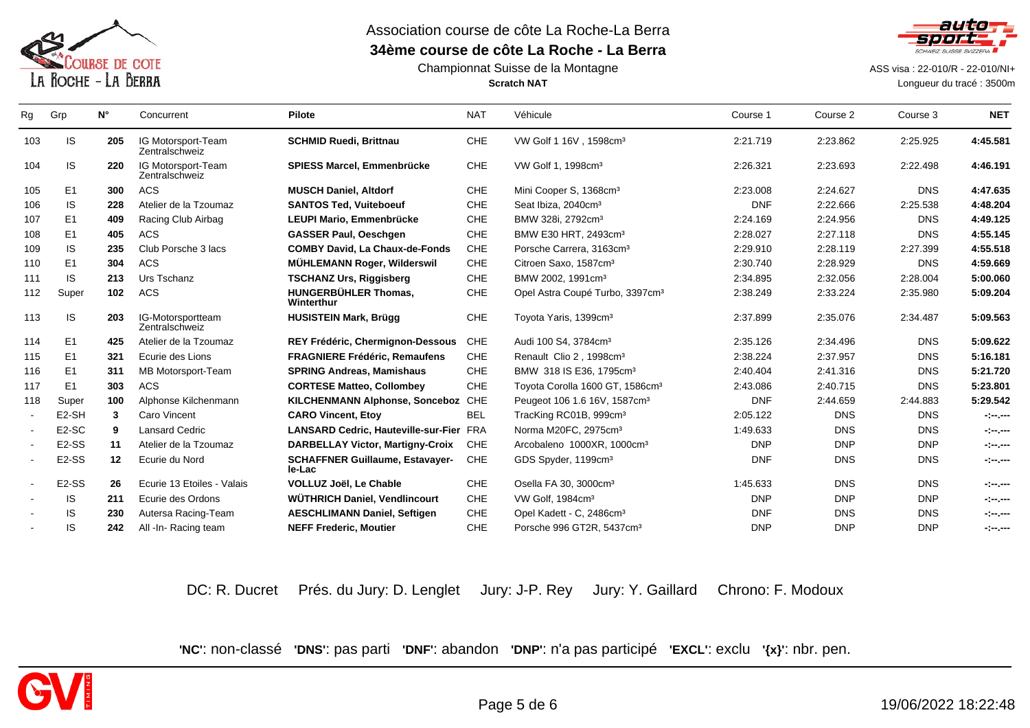

### Championnat Suisse de la Montagne**Scratch NAT**



ASS visa : 22-010/R - 22-010/NI+

Longueur du tracé : 3500m

| Rg  | Grp                | $N^{\circ}$ | Concurrent                           | <b>Pilote</b>                                    | <b>NAT</b> | Véhicule                                    | Course 1   | Course 2   | Course 3   | <b>NET</b> |
|-----|--------------------|-------------|--------------------------------------|--------------------------------------------------|------------|---------------------------------------------|------------|------------|------------|------------|
| 103 | IS                 | 205         | IG Motorsport-Team<br>Zentralschweiz | <b>SCHMID Ruedi, Brittnau</b>                    | CHE        | VW Golf 1 16V, 1598cm <sup>3</sup>          | 2:21.719   | 2:23.862   | 2:25.925   | 4:45.581   |
| 104 | IS.                | 220         | IG Motorsport-Team<br>Zentralschweiz | <b>SPIESS Marcel, Emmenbrücke</b>                | CHE        | VW Golf 1, 1998cm <sup>3</sup>              | 2:26.321   | 2:23.693   | 2:22.498   | 4:46.191   |
| 105 | E <sub>1</sub>     | 300         | <b>ACS</b>                           | <b>MUSCH Daniel, Altdorf</b>                     | CHE        | Mini Cooper S, 1368cm <sup>3</sup>          | 2:23.008   | 2:24.627   | <b>DNS</b> | 4:47.635   |
| 106 | <b>IS</b>          | 228         | Atelier de la Tzoumaz                | <b>SANTOS Ted. Vuiteboeuf</b>                    | <b>CHE</b> | Seat Ibiza, 2040cm <sup>3</sup>             | <b>DNF</b> | 2:22.666   | 2:25.538   | 4:48.204   |
| 107 | E1                 | 409         | Racing Club Airbag                   | LEUPI Mario, Emmenbrücke                         | <b>CHE</b> | BMW 328i, 2792cm <sup>3</sup>               | 2:24.169   | 2:24.956   | <b>DNS</b> | 4:49.125   |
| 108 | E <sub>1</sub>     | 405         | <b>ACS</b>                           | <b>GASSER Paul, Oeschgen</b>                     | CHE        | BMW E30 HRT, 2493cm <sup>3</sup>            | 2:28.027   | 2:27.118   | <b>DNS</b> | 4:55.145   |
| 109 | <b>IS</b>          | 235         | Club Porsche 3 lacs                  | <b>COMBY David, La Chaux-de-Fonds</b>            | CHE        | Porsche Carrera, 3163cm <sup>3</sup>        | 2:29.910   | 2:28.119   | 2:27.399   | 4:55.518   |
| 110 | E <sub>1</sub>     | 304         | <b>ACS</b>                           | <b>MÜHLEMANN Roger, Wilderswil</b>               | CHE        | Citroen Saxo, 1587cm <sup>3</sup>           | 2:30.740   | 2:28.929   | <b>DNS</b> | 4:59.669   |
| 111 | <b>IS</b>          | 213         | Urs Tschanz                          | <b>TSCHANZ Urs, Riggisberg</b>                   | CHE        | BMW 2002, 1991cm <sup>3</sup>               | 2:34.895   | 2:32.056   | 2:28.004   | 5:00.060   |
| 112 | Super              | 102         | <b>ACS</b>                           | <b>HUNGERBÜHLER Thomas,</b><br>Winterthur        | CHE        | Opel Astra Coupé Turbo, 3397cm <sup>3</sup> | 2:38.249   | 2:33.224   | 2:35.980   | 5:09.204   |
| 113 | IS                 | 203         | IG-Motorsportteam<br>Zentralschweiz  | <b>HUSISTEIN Mark, Brügg</b>                     | CHE        | Toyota Yaris, 1399cm <sup>3</sup>           | 2:37.899   | 2:35.076   | 2:34.487   | 5:09.563   |
| 114 | E <sub>1</sub>     | 425         | Atelier de la Tzoumaz                | <b>REY Frédéric, Chermignon-Dessous</b>          | <b>CHE</b> | Audi 100 S4, 3784cm <sup>3</sup>            | 2:35.126   | 2:34.496   | <b>DNS</b> | 5:09.622   |
| 115 | E <sub>1</sub>     | 321         | Ecurie des Lions                     | <b>FRAGNIERE Frédéric, Remaufens</b>             | CHE        | Renault Clio 2, 1998cm <sup>3</sup>         | 2:38.224   | 2:37.957   | <b>DNS</b> | 5:16.181   |
| 116 | E <sub>1</sub>     | 311         | MB Motorsport-Team                   | <b>SPRING Andreas, Mamishaus</b>                 | CHE        | BMW 318 IS E36, 1795cm <sup>3</sup>         | 2:40.404   | 2:41.316   | <b>DNS</b> | 5:21.720   |
| 117 | E <sub>1</sub>     | 303         | <b>ACS</b>                           | <b>CORTESE Matteo, Collombey</b>                 | CHE        | Toyota Corolla 1600 GT, 1586cm <sup>3</sup> | 2:43.086   | 2:40.715   | <b>DNS</b> | 5:23.801   |
| 118 | Super              | 100         | Alphonse Kilchenmann                 | <b>KILCHENMANN Alphonse, Sonceboz</b>            | CHE        | Peugeot 106 1.6 16V, 1587cm <sup>3</sup>    | <b>DNF</b> | 2:44.659   | 2:44.883   | 5:29.542   |
|     | E <sub>2</sub> -SH | 3           | Caro Vincent                         | <b>CARO Vincent, Etoy</b>                        | <b>BEL</b> | TracKing RC01B, 999cm <sup>3</sup>          | 2:05.122   | <b>DNS</b> | <b>DNS</b> | -1-1--     |
|     | E <sub>2</sub> -SC | 9           | <b>Lansard Cedric</b>                | <b>LANSARD Cedric, Hauteville-sur-Fier FRA</b>   |            | Norma M20FC, 2975cm <sup>3</sup>            | 1:49.633   | <b>DNS</b> | <b>DNS</b> | -1-1--     |
|     | E <sub>2</sub> -SS | 11          | Atelier de la Tzoumaz                | <b>DARBELLAY Victor, Martigny-Croix</b>          | <b>CHE</b> | Arcobaleno 1000XR, 1000cm <sup>3</sup>      | <b>DNP</b> | <b>DNP</b> | <b>DNP</b> | -1-1--     |
|     | E <sub>2</sub> -SS | 12          | Ecurie du Nord                       | <b>SCHAFFNER Guillaume, Estavayer-</b><br>le-Lac | <b>CHE</b> | GDS Spyder, 1199cm <sup>3</sup>             | <b>DNF</b> | <b>DNS</b> | <b>DNS</b> | - - -      |
|     | E <sub>2</sub> -SS | 26          | Ecurie 13 Etoiles - Valais           | VOLLUZ Joël, Le Chable                           | CHE        | Osella FA 30, 3000cm <sup>3</sup>           | 1:45.633   | <b>DNS</b> | <b>DNS</b> | - - -      |
|     | IS                 | 211         | Ecurie des Ordons                    | WÜTHRICH Daniel, Vendlincourt                    | CHE        | VW Golf, 1984cm <sup>3</sup>                | <b>DNP</b> | <b>DNP</b> | <b>DNP</b> | -1-1--     |
|     | <b>IS</b>          | 230         | Autersa Racing-Team                  | <b>AESCHLIMANN Daniel, Seftigen</b>              | <b>CHE</b> | Opel Kadett - C, 2486cm <sup>3</sup>        | <b>DNF</b> | <b>DNS</b> | <b>DNS</b> | - - -      |
|     | IS                 | 242         | All -In- Racing team                 | <b>NEFF Frederic, Moutier</b>                    | CHE        | Porsche 996 GT2R, 5437cm <sup>3</sup>       | <b>DNP</b> | <b>DNP</b> | <b>DNP</b> | - - -      |
|     |                    |             |                                      |                                                  |            |                                             |            |            |            |            |

DC: R. Ducret Prés. du Jury: D. Lenglet Jury: J-P. Rey Jury: Y. Gaillard Chrono: F. Modoux